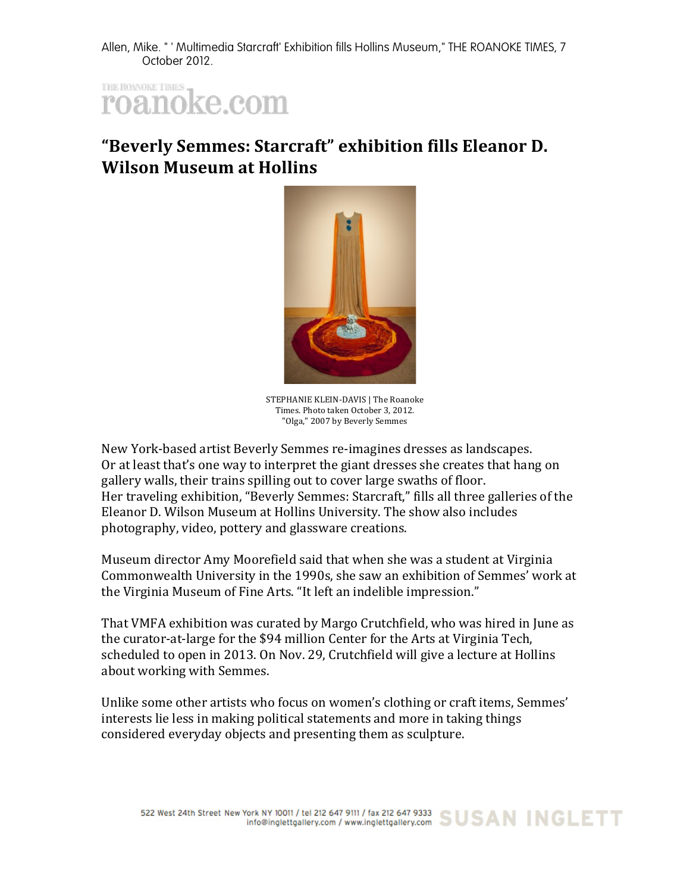Allen, Mike. " ' Multimedia Starcraft' Exhibition fills Hollins Museum," THE ROANOKE TIMES, 7 October 2012.

THE ROWOKE TIMES roanoke.com

## "Beverly Semmes: Starcraft" exhibition fills Eleanor D. **Wilson Museum at Hollins**



STEPHANIE KLEIN-DAVIS | The Roanoke Times. Photo taken October 3, 2012. "Olga," 2007 by Beverly Semmes

New York-based artist Beverly Semmes re-imagines dresses as landscapes. Or at least that's one way to interpret the giant dresses she creates that hang on gallery walls, their trains spilling out to cover large swaths of floor. Her traveling exhibition, "Beverly Semmes: Starcraft," fills all three galleries of the Eleanor D. Wilson Museum at Hollins University. The show also includes photography, video, pottery and glassware creations.

Museum director Amy Moorefield said that when she was a student at Virginia Commonwealth University in the 1990s, she saw an exhibition of Semmes' work at the Virginia Museum of Fine Arts. "It left an indelible impression."

That VMFA exhibition was curated by Margo Crutchfield, who was hired in June as the curator-at-large for the \$94 million Center for the Arts at Virginia Tech, scheduled to open in 2013. On Nov. 29, Crutchfield will give a lecture at Hollins about working with Semmes.

Unlike some other artists who focus on women's clothing or craft items, Semmes' interests lie less in making political statements and more in taking things considered everyday objects and presenting them as sculpture.